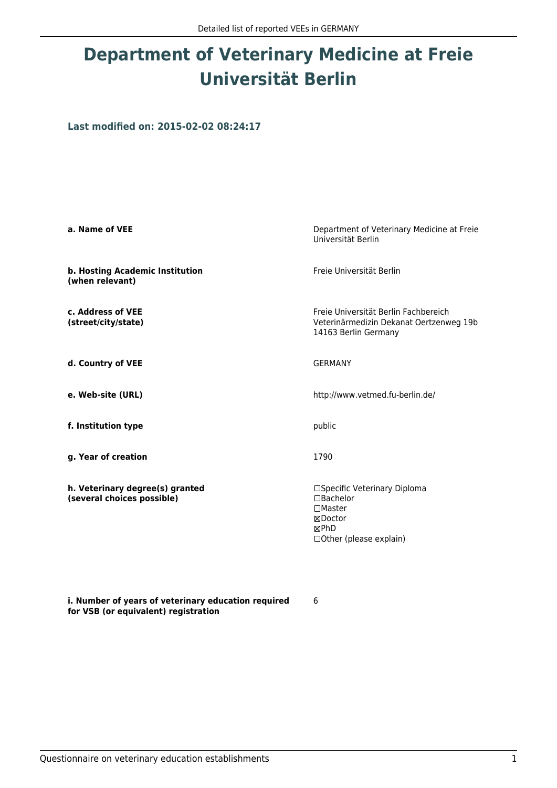## **Department of Veterinary Medicine at Freie Universität Berlin**

**Last modified on: 2015-02-02 08:24:17**

| a. Name of VEE                                                | Department of Veterinary Medicine at Freie<br>Universität Berlin                                          |  |
|---------------------------------------------------------------|-----------------------------------------------------------------------------------------------------------|--|
| b. Hosting Academic Institution<br>(when relevant)            | Freie Universität Berlin                                                                                  |  |
| c. Address of VEE<br>(street/city/state)                      | Freie Universität Berlin Fachbereich<br>Veterinärmedizin Dekanat Oertzenweg 19b<br>14163 Berlin Germany   |  |
| d. Country of VEE                                             | <b>GERMANY</b>                                                                                            |  |
| e. Web-site (URL)                                             | http://www.vetmed.fu-berlin.de/                                                                           |  |
| f. Institution type                                           | public                                                                                                    |  |
| g. Year of creation                                           | 1790                                                                                                      |  |
| h. Veterinary degree(s) granted<br>(several choices possible) | □Specific Veterinary Diploma<br>□Bachelor<br>$\Box$ Master<br>⊠Doctor<br>⊠PhD<br>□ Other (please explain) |  |

**i. Number of years of veterinary education required for VSB (or equivalent) registration**

6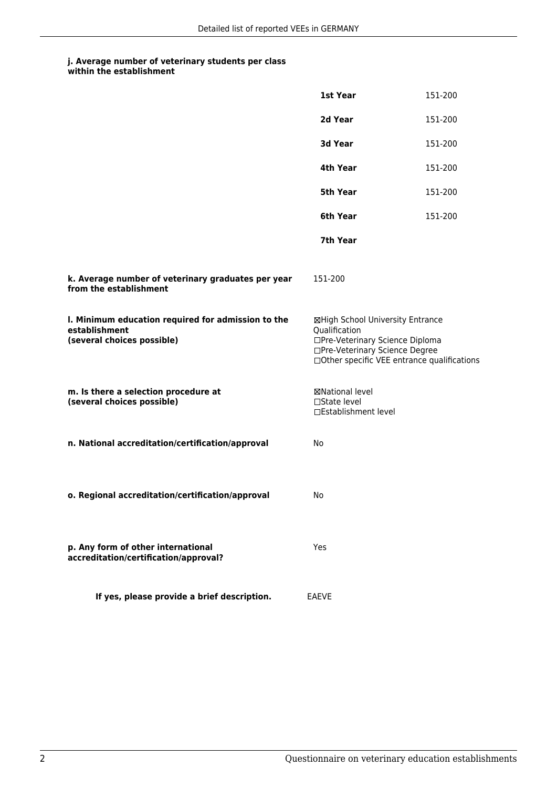### **j. Average number of veterinary students per class**

|                                                                                                   | 1st Year                                                                                                                                                              | 151-200 |
|---------------------------------------------------------------------------------------------------|-----------------------------------------------------------------------------------------------------------------------------------------------------------------------|---------|
|                                                                                                   | 2d Year                                                                                                                                                               | 151-200 |
|                                                                                                   | 3d Year                                                                                                                                                               | 151-200 |
|                                                                                                   | 4th Year                                                                                                                                                              | 151-200 |
|                                                                                                   | 5th Year                                                                                                                                                              | 151-200 |
|                                                                                                   | 6th Year                                                                                                                                                              | 151-200 |
|                                                                                                   | 7th Year                                                                                                                                                              |         |
| k. Average number of veterinary graduates per year<br>from the establishment                      | 151-200                                                                                                                                                               |         |
| I. Minimum education required for admission to the<br>establishment<br>(several choices possible) | ⊠High School University Entrance<br>Qualification<br>□Pre-Veterinary Science Diploma<br>□Pre-Veterinary Science Degree<br>□Other specific VEE entrance qualifications |         |
| m. Is there a selection procedure at<br>(several choices possible)                                | ⊠National level<br>□State level<br>□Establishment level                                                                                                               |         |
| n. National accreditation/certification/approval                                                  | No                                                                                                                                                                    |         |
| o. Regional accreditation/certification/approval                                                  | No                                                                                                                                                                    |         |
| p. Any form of other international<br>accreditation/certification/approval?                       | Yes                                                                                                                                                                   |         |
| If yes, please provide a brief description.                                                       | <b>EAEVE</b>                                                                                                                                                          |         |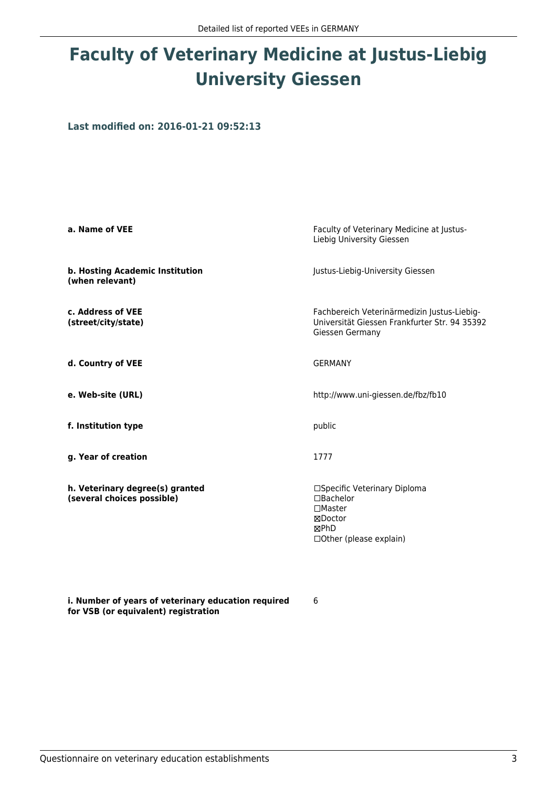## **Faculty of Veterinary Medicine at Justus-Liebig University Giessen**

**Last modified on: 2016-01-21 09:52:13**

| a. Name of VEE                                                | Faculty of Veterinary Medicine at Justus-<br>Liebig University Giessen                                          |  |
|---------------------------------------------------------------|-----------------------------------------------------------------------------------------------------------------|--|
| b. Hosting Academic Institution<br>(when relevant)            | Justus-Liebig-University Giessen                                                                                |  |
| c. Address of VEE<br>(street/city/state)                      | Fachbereich Veterinärmedizin Justus-Liebig-<br>Universität Giessen Frankfurter Str. 94 35392<br>Giessen Germany |  |
| d. Country of VEE                                             | <b>GFRMANY</b>                                                                                                  |  |
| e. Web-site (URL)                                             | http://www.uni-giessen.de/fbz/fb10                                                                              |  |
| f. Institution type                                           | public                                                                                                          |  |
| g. Year of creation                                           | 1777                                                                                                            |  |
| h. Veterinary degree(s) granted<br>(several choices possible) | □Specific Veterinary Diploma<br>□Bachelor<br>$\Box$ Master<br>⊠Doctor<br>⊠PhD<br>□ Other (please explain)       |  |

**i. Number of years of veterinary education required for VSB (or equivalent) registration**

6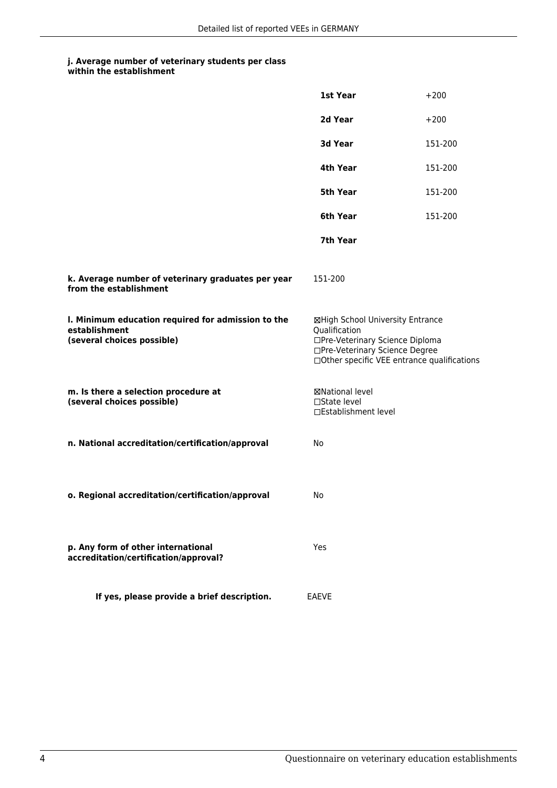### **j. Average number of veterinary students per class**

|                                                                                                   | 1st Year                                                                                                                                                               | $+200$  |
|---------------------------------------------------------------------------------------------------|------------------------------------------------------------------------------------------------------------------------------------------------------------------------|---------|
|                                                                                                   | 2d Year                                                                                                                                                                | $+200$  |
|                                                                                                   | 3d Year                                                                                                                                                                | 151-200 |
|                                                                                                   | 4th Year                                                                                                                                                               | 151-200 |
|                                                                                                   | 5th Year                                                                                                                                                               | 151-200 |
|                                                                                                   | 6th Year                                                                                                                                                               | 151-200 |
|                                                                                                   | 7th Year                                                                                                                                                               |         |
| k. Average number of veterinary graduates per year<br>from the establishment                      | 151-200                                                                                                                                                                |         |
| I. Minimum education required for admission to the<br>establishment<br>(several choices possible) | ⊠High School University Entrance<br>Qualification<br>□Pre-Veterinary Science Diploma<br>□Pre-Veterinary Science Degree<br>□ Other specific VEE entrance qualifications |         |
| m. Is there a selection procedure at<br>(several choices possible)                                | ⊠National level<br>□State level<br>□Establishment level                                                                                                                |         |
| n. National accreditation/certification/approval                                                  | No                                                                                                                                                                     |         |
| o. Regional accreditation/certification/approval                                                  | No                                                                                                                                                                     |         |
| p. Any form of other international<br>accreditation/certification/approval?                       | Yes                                                                                                                                                                    |         |
| If yes, please provide a brief description.                                                       | <b>EAEVE</b>                                                                                                                                                           |         |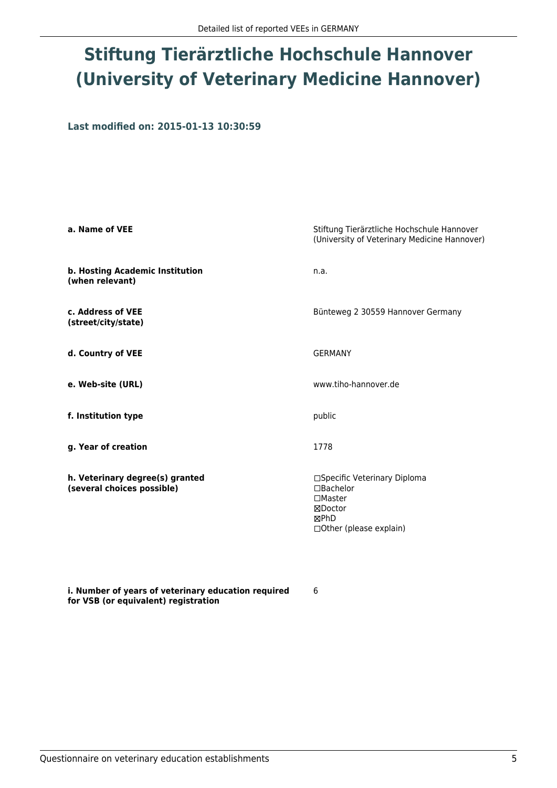# **Stiftung Tierärztliche Hochschule Hannover (University of Veterinary Medicine Hannover)**

**Last modified on: 2015-01-13 10:30:59**

| a. Name of VEE                                                | Stiftung Tierärztliche Hochschule Hannover<br>(University of Veterinary Medicine Hannover)                         |  |
|---------------------------------------------------------------|--------------------------------------------------------------------------------------------------------------------|--|
| b. Hosting Academic Institution<br>(when relevant)            | n.a.                                                                                                               |  |
| c. Address of VEE<br>(street/city/state)                      | Bünteweg 2 30559 Hannover Germany                                                                                  |  |
| d. Country of VEE                                             | <b>GERMANY</b>                                                                                                     |  |
| e. Web-site (URL)                                             | www.tiho-hannover.de                                                                                               |  |
| f. Institution type                                           | public                                                                                                             |  |
| g. Year of creation                                           | 1778                                                                                                               |  |
| h. Veterinary degree(s) granted<br>(several choices possible) | □Specific Veterinary Diploma<br>$\Box$ Bachelor<br>$\square$ Master<br>⊠Doctor<br>⊠PhD<br>□ Other (please explain) |  |

6

**i. Number of years of veterinary education required for VSB (or equivalent) registration**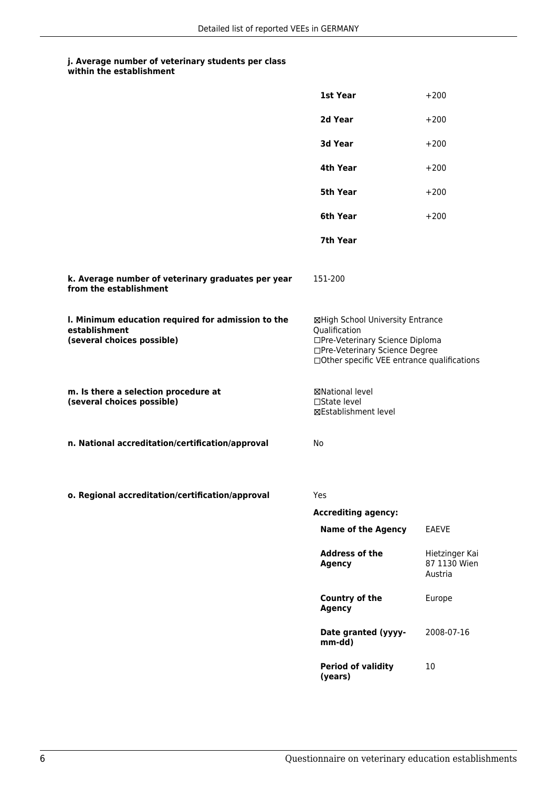#### **j. Average number of veterinary students per class within the establishment**

|                                                                                                   | 1st Year                                                                                                                                                              | $+200$                                    |
|---------------------------------------------------------------------------------------------------|-----------------------------------------------------------------------------------------------------------------------------------------------------------------------|-------------------------------------------|
|                                                                                                   | 2d Year                                                                                                                                                               | $+200$                                    |
|                                                                                                   | 3d Year                                                                                                                                                               | $+200$                                    |
|                                                                                                   | 4th Year                                                                                                                                                              | $+200$                                    |
|                                                                                                   | 5th Year                                                                                                                                                              | $+200$                                    |
|                                                                                                   | 6th Year                                                                                                                                                              | $+200$                                    |
|                                                                                                   | 7th Year                                                                                                                                                              |                                           |
| k. Average number of veterinary graduates per year<br>from the establishment                      | 151-200                                                                                                                                                               |                                           |
| I. Minimum education required for admission to the<br>establishment<br>(several choices possible) | ⊠High School University Entrance<br>Qualification<br>□Pre-Veterinary Science Diploma<br>□Pre-Veterinary Science Degree<br>□Other specific VEE entrance qualifications |                                           |
| m. Is there a selection procedure at<br>(several choices possible)                                | ⊠National level<br>□State level<br>⊠Establishment level                                                                                                               |                                           |
| n. National accreditation/certification/approval                                                  | No                                                                                                                                                                    |                                           |
| o. Regional accreditation/certification/approval                                                  | Yes                                                                                                                                                                   |                                           |
|                                                                                                   | <b>Accrediting agency:</b>                                                                                                                                            |                                           |
|                                                                                                   | <b>Name of the Agency</b>                                                                                                                                             | <b>EAEVE</b>                              |
|                                                                                                   | <b>Address of the</b><br><b>Agency</b>                                                                                                                                | Hietzinger Kai<br>87 1130 Wien<br>Austria |
|                                                                                                   | Country of the<br><b>Agency</b>                                                                                                                                       | Europe                                    |
|                                                                                                   | Date granted (yyyy-<br>mm-dd)                                                                                                                                         | 2008-07-16                                |
|                                                                                                   | <b>Period of validity</b><br>(years)                                                                                                                                  | 10                                        |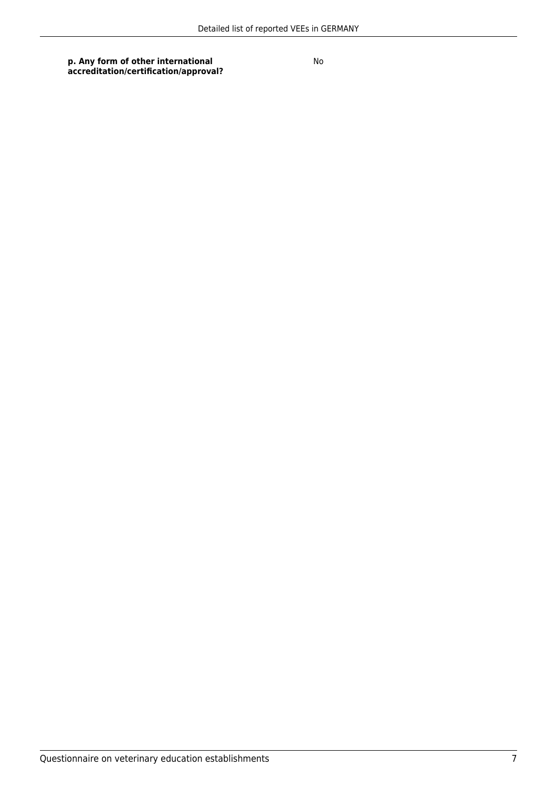**p. Any form of other international accreditation/certification/approval?** No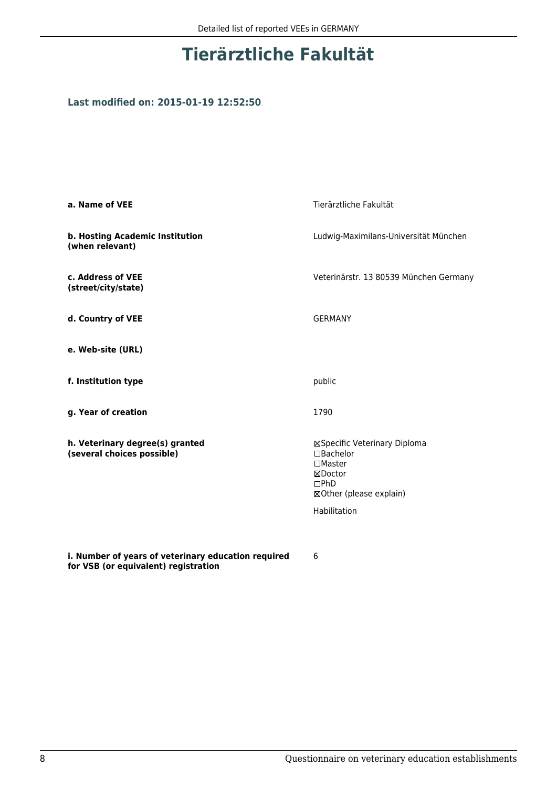## **Tierärztliche Fakultät**

#### **Last modified on: 2015-01-19 12:52:50**

| a. Name of VEE                                                                              | Tierärztliche Fakultät                                                                                                            |  |
|---------------------------------------------------------------------------------------------|-----------------------------------------------------------------------------------------------------------------------------------|--|
| b. Hosting Academic Institution<br>(when relevant)                                          | Ludwig-Maximilans-Universität München                                                                                             |  |
| c. Address of VEE<br>(street/city/state)                                                    | Veterinärstr. 13 80539 München Germany                                                                                            |  |
| d. Country of VEE                                                                           | <b>GERMANY</b>                                                                                                                    |  |
| e. Web-site (URL)                                                                           |                                                                                                                                   |  |
| f. Institution type                                                                         | public                                                                                                                            |  |
| g. Year of creation                                                                         | 1790                                                                                                                              |  |
| h. Veterinary degree(s) granted<br>(several choices possible)                               | ⊠Specific Veterinary Diploma<br>$\Box$ Bachelor<br>$\square$ Master<br>⊠Doctor<br>DPhD<br>⊠Other (please explain)<br>Habilitation |  |
| i. Number of years of veterinary education required<br>for VSB (or equivalent) registration | 6                                                                                                                                 |  |